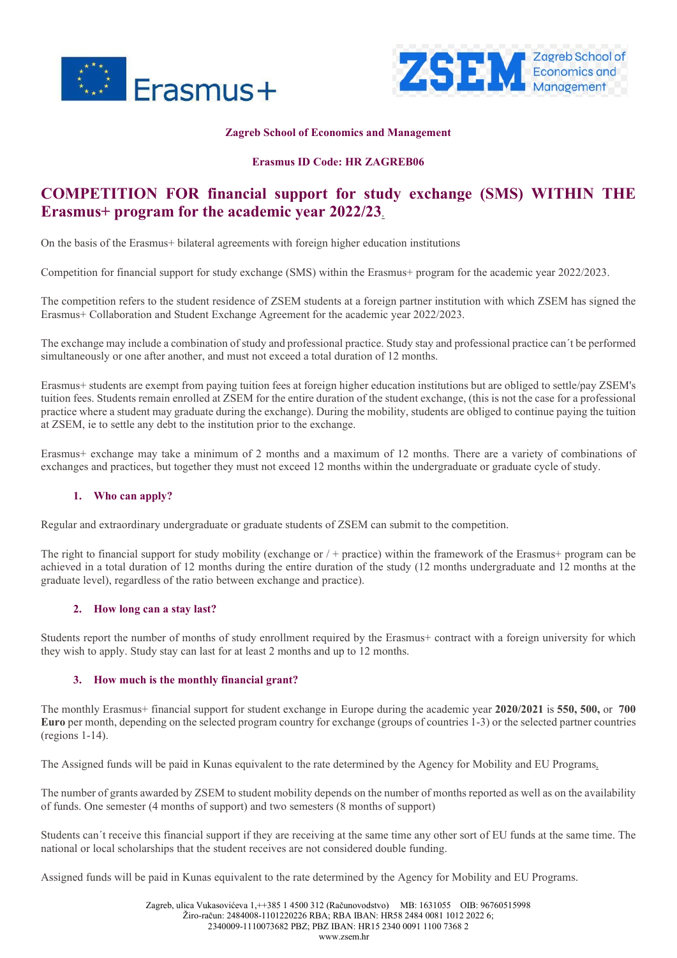



#### **Zagreb School of Economics and Management**

# **Erasmus ID Code: HR ZAGREB06**

# **COMPETITION FOR financial support for study exchange (SMS) WITHIN THE Erasmus+ program for the academic year 2022/23**.

On the basis of the Erasmus+ bilateral agreements with foreign higher education institutions

Competition for financial support for study exchange (SMS) within the Erasmus+ program for the academic year 2022/2023.

The competition refers to the student residence of ZSEM students at a foreign partner institution with which ZSEM has signed the Erasmus+ Collaboration and Student Exchange Agreement for the academic year 2022/2023.

The exchange may include a combination of study and professional practice. Study stay and professional practice can´t be performed simultaneously or one after another, and must not exceed a total duration of 12 months.

Erasmus+ students are exempt from paying tuition fees at foreign higher education institutions but are obliged to settle/pay ZSEM's tuition fees. Students remain enrolled at ZSEM for the entire duration of the student exchange, (this is not the case for a professional practice where a student may graduate during the exchange). During the mobility, students are obliged to continue paying the tuition at ZSEM, ie to settle any debt to the institution prior to the exchange.

Erasmus+ exchange may take a minimum of 2 months and a maximum of 12 months. There are a variety of combinations of exchanges and practices, but together they must not exceed 12 months within the undergraduate or graduate cycle of study.

#### **1. Who can apply?**

Regular and extraordinary undergraduate or graduate students of ZSEM can submit to the competition.

The right to financial support for study mobility (exchange or / + practice) within the framework of the Erasmus+ program can be achieved in a total duration of 12 months during the entire duration of the study (12 months undergraduate and 12 months at the graduate level), regardless of the ratio between exchange and practice).

#### **2. How long can a stay last?**

Students report the number of months of study enrollment required by the Erasmus+ contract with a foreign university for which they wish to apply. Study stay can last for at least 2 months and up to 12 months.

#### **3. How much is the monthly financial grant?**

The monthly Erasmus+ financial support for student exchange in Europe during the academic year **2020/2021** is **550, 500,** or **700 Euro** per month, depending on the selected program country for exchange (groups of countries 1-3) or the selected partner countries (regions 1-14).

The Assigned funds will be paid in Kunas equivalent to the rate determined by the Agency for Mobility and EU Programs.

The number of grants awarded by ZSEM to student mobility depends on the number of months reported as well as on the availability of funds. One semester (4 months of support) and two semesters (8 months of support)

Students can´t receive this financial support if they are receiving at the same time any other sort of EU funds at the same time. The national or local scholarships that the student receives are not considered double funding.

Assigned funds will be paid in Kunas equivalent to the rate determined by the Agency for Mobility and EU Programs.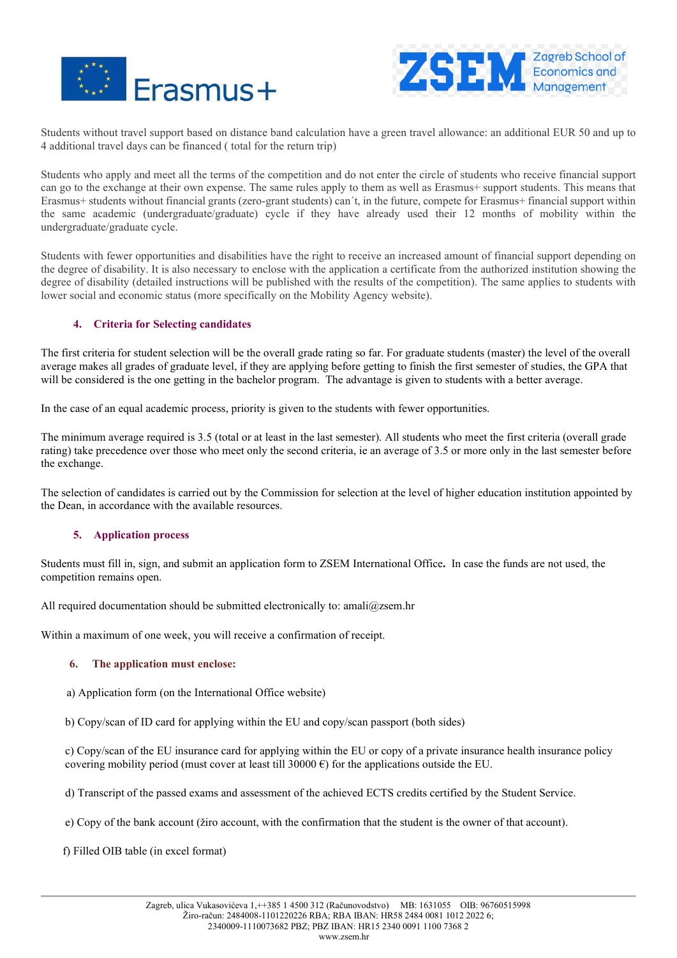



Students without travel support based on distance band calculation have a green travel allowance: an additional EUR 50 and up to 4 additional travel days can be financed ( total for the return trip)

Students who apply and meet all the terms of the competition and do not enter the circle of students who receive financial support can go to the exchange at their own expense. The same rules apply to them as well as Erasmus+ support students. This means that Erasmus+ students without financial grants (zero-grant students) can´t, in the future, compete for Erasmus+ financial support within the same academic (undergraduate/graduate) cycle if they have already used their 12 months of mobility within the undergraduate/graduate cycle.

Students with fewer opportunities and disabilities have the right to receive an increased amount of financial support depending on the degree of disability. It is also necessary to enclose with the application a certificate from the authorized institution showing the degree of disability (detailed instructions will be published with the results of the competition). The same applies to students with lower social and economic status (more specifically on the Mobility Agency website).

# **4. Criteria for Selecting candidates**

The first criteria for student selection will be the overall grade rating so far. For graduate students (master) the level of the overall average makes all grades of graduate level, if they are applying before getting to finish the first semester of studies, the GPA that will be considered is the one getting in the bachelor program. The advantage is given to students with a better average.

In the case of an equal academic process, priority is given to the students with fewer opportunities.

The minimum average required is 3.5 (total or at least in the last semester). All students who meet the first criteria (overall grade rating) take precedence over those who meet only the second criteria, ie an average of 3.5 or more only in the last semester before the exchange.

The selection of candidates is carried out by the Commission for selection at the level of higher education institution appointed by the Dean, in accordance with the available resources.

# **5. Application process**

Students must fill in, sign, and submit an application form to ZSEM International Office**.** In case the funds are not used, the competition remains open.

All required documentation should be submitted electronically to: amali@zsem.hr

Within a maximum of one week, you will receive a confirmation of receipt.

#### **6. The application must enclose:**

a) Application form (on the International Office website)

b) Copy/scan of ID card for applying within the EU and copy/scan passport (both sides)

c) Copy/scan of the EU insurance card for applying within the EU or copy of a private insurance health insurance policy covering mobility period (must cover at least till 30000  $\epsilon$ ) for the applications outside the EU.

d) Transcript of the passed exams and assessment of the achieved ECTS credits certified by the Student Service.

e) Copy of the bank account (žiro account, with the confirmation that the student is the owner of that account).

f) Filled OIB table (in excel format)

www.zsem.hr